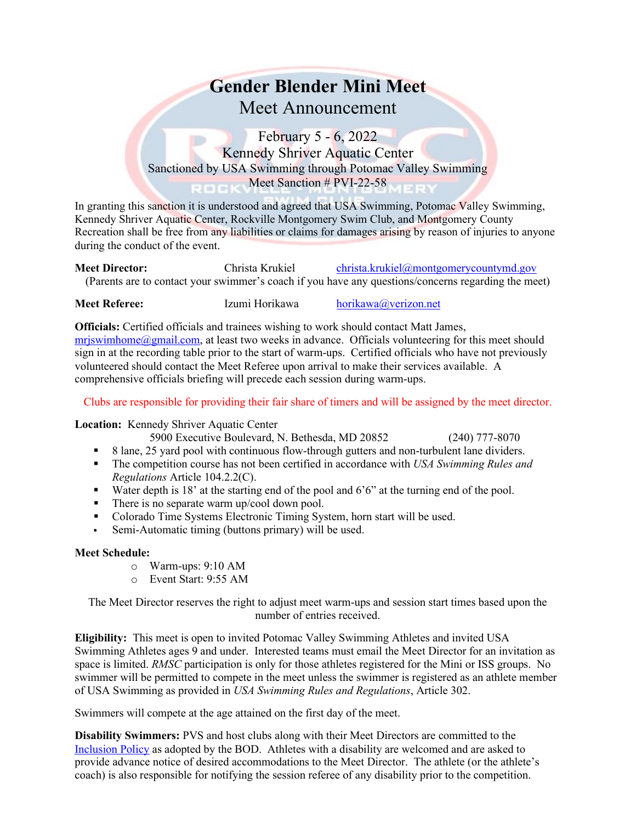## **Gender Blender Mini Meet** Meet Announcement

February 5 - 6, 2022 Kennedy Shriver Aquatic Center Sanctioned by USA Swimming through Potomac Valley Swimming Meet Sanction # PVI-22-58

In granting this sanction it is understood and agreed that USA Swimming, Potomac Valley Swimming, Kennedy Shriver Aquatic Center, Rockville Montgomery Swim Club, and Montgomery County Recreation shall be free from any liabilities or claims for damages arising by reason of injuries to anyone during the conduct of the event.

**Meet Director:** Christa Krukiel [christa.krukiel@montgomerycountymd.gov](mailto:christa.krukiel@montgomerycountymd.gov) (Parents are to contact your swimmer's coach if you have any questions/concerns regarding the meet)

**Meet Referee:** Izumi Horikawa [horikawa@verizon.net](mailto:horikawa@comcast.net)

**Officials:** Certified officials and trainees wishing to work should contact Matt James,  $m$ rjswimhome $Q$ gmail.com, at least two weeks in advance. Officials volunteering for this meet should sign in at the recording table prior to the start of warm-ups. Certified officials who have not previously volunteered should contact the Meet Referee upon arrival to make their services available. A comprehensive officials briefing will precede each session during warm-ups.

Clubs are responsible for providing their fair share of timers and will be assigned by the meet director.

**Location:** Kennedy Shriver Aquatic Center

- 5900 Executive Boulevard, N. Bethesda, MD 20852 (240) 777-8070
- 8 lane, 25 yard pool with continuous flow-through gutters and non-turbulent lane dividers.
- The competition course has not been certified in accordance with *USA Swimming Rules and Regulations* Article 104.2.2(C).
- Water depth is 18' at the starting end of the pool and 6'6" at the turning end of the pool.
- $\blacksquare$  There is no separate warm up/cool down pool.
- Colorado Time Systems Electronic Timing System, horn start will be used.
- Semi-Automatic timing (buttons primary) will be used.

#### **Meet Schedule:**

- o Warm-ups: 9:10 AM
- o Event Start: 9:55 AM

The Meet Director reserves the right to adjust meet warm-ups and session start times based upon the number of entries received.

**Eligibility:** This meet is open to invited Potomac Valley Swimming Athletes and invited USA Swimming Athletes ages 9 and under. Interested teams must email the Meet Director for an invitation as space is limited. *RMSC* participation is only for those athletes registered for the Mini or ISS groups. No swimmer will be permitted to compete in the meet unless the swimmer is registered as an athlete member of USA Swimming as provided in *USA Swimming Rules and Regulations*, Article 302.

Swimmers will compete at the age attained on the first day of the meet.

**Disability Swimmers:** PVS and host clubs along with their Meet Directors are committed to the [Inclusion Policy](http://www.pvswim.org/disability/inclusion_policy.html) as adopted by the BOD. Athletes with a disability are welcomed and are asked to provide advance notice of desired accommodations to the Meet Director. The athlete (or the athlete's coach) is also responsible for notifying the session referee of any disability prior to the competition.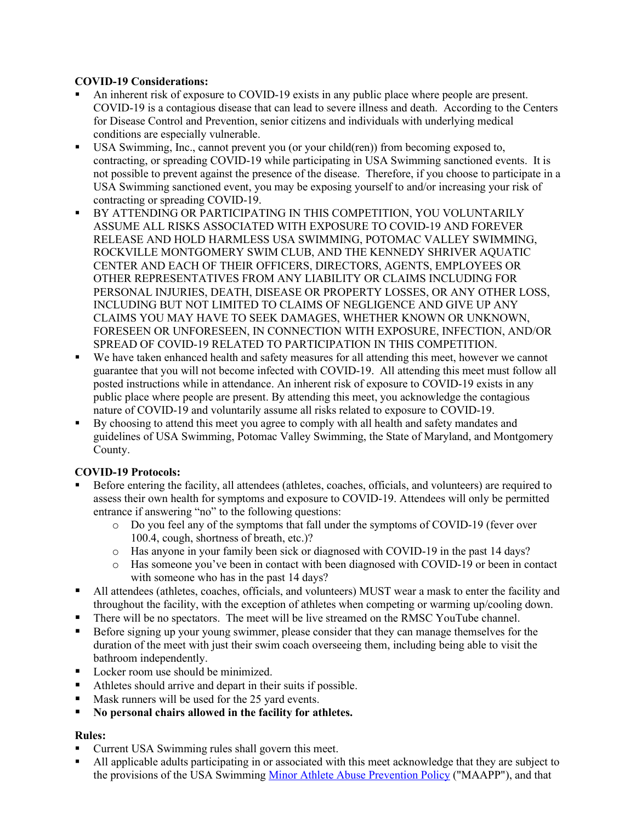### **COVID-19 Considerations:**

- An inherent risk of exposure to COVID-19 exists in any public place where people are present. COVID-19 is a contagious disease that can lead to severe illness and death. According to the Centers for Disease Control and Prevention, senior citizens and individuals with underlying medical conditions are especially vulnerable.
- USA Swimming, Inc., cannot prevent you (or your child(ren)) from becoming exposed to, contracting, or spreading COVID-19 while participating in USA Swimming sanctioned events. It is not possible to prevent against the presence of the disease. Therefore, if you choose to participate in a USA Swimming sanctioned event, you may be exposing yourself to and/or increasing your risk of contracting or spreading COVID-19.
- BY ATTENDING OR PARTICIPATING IN THIS COMPETITION, YOU VOLUNTARILY ASSUME ALL RISKS ASSOCIATED WITH EXPOSURE TO COVID-19 AND FOREVER RELEASE AND HOLD HARMLESS USA SWIMMING, POTOMAC VALLEY SWIMMING, ROCKVILLE MONTGOMERY SWIM CLUB, AND THE KENNEDY SHRIVER AQUATIC CENTER AND EACH OF THEIR OFFICERS, DIRECTORS, AGENTS, EMPLOYEES OR OTHER REPRESENTATIVES FROM ANY LIABILITY OR CLAIMS INCLUDING FOR PERSONAL INJURIES, DEATH, DISEASE OR PROPERTY LOSSES, OR ANY OTHER LOSS, INCLUDING BUT NOT LIMITED TO CLAIMS OF NEGLIGENCE AND GIVE UP ANY CLAIMS YOU MAY HAVE TO SEEK DAMAGES, WHETHER KNOWN OR UNKNOWN, FORESEEN OR UNFORESEEN, IN CONNECTION WITH EXPOSURE, INFECTION, AND/OR SPREAD OF COVID-19 RELATED TO PARTICIPATION IN THIS COMPETITION.
- We have taken enhanced health and safety measures for all attending this meet, however we cannot guarantee that you will not become infected with COVID-19. All attending this meet must follow all posted instructions while in attendance. An inherent risk of exposure to COVID-19 exists in any public place where people are present. By attending this meet, you acknowledge the contagious nature of COVID-19 and voluntarily assume all risks related to exposure to COVID-19.
- By choosing to attend this meet you agree to comply with all health and safety mandates and guidelines of USA Swimming, Potomac Valley Swimming, the State of Maryland, and Montgomery County.

### **COVID-19 Protocols:**

- Before entering the facility, all attendees (athletes, coaches, officials, and volunteers) are required to assess their own health for symptoms and exposure to COVID-19. Attendees will only be permitted entrance if answering "no" to the following questions:
	- o Do you feel any of the symptoms that fall under the symptoms of COVID-19 (fever over 100.4, cough, shortness of breath, etc.)?
	- o Has anyone in your family been sick or diagnosed with COVID-19 in the past 14 days?
	- o Has someone you've been in contact with been diagnosed with COVID-19 or been in contact with someone who has in the past 14 days?
- All attendees (athletes, coaches, officials, and volunteers) MUST wear a mask to enter the facility and throughout the facility, with the exception of athletes when competing or warming up/cooling down.
- There will be no spectators. The meet will be live streamed on the RMSC YouTube channel.
- Before signing up your young swimmer, please consider that they can manage themselves for the duration of the meet with just their swim coach overseeing them, including being able to visit the bathroom independently.
- **Locker room use should be minimized.**
- Athletes should arrive and depart in their suits if possible.
- Mask runners will be used for the 25 yard events.
- **No personal chairs allowed in the facility for athletes.**

### **Rules:**

- Current USA Swimming rules shall govern this meet.
- All applicable adults participating in or associated with this meet acknowledge that they are subject to the provisions of the USA Swimming [Minor Athlete Abuse Prevention Policy](https://www.usaswimming.org/safe-sport/minor-athlete-abuse-prevention-policy) ("MAAPP"), and that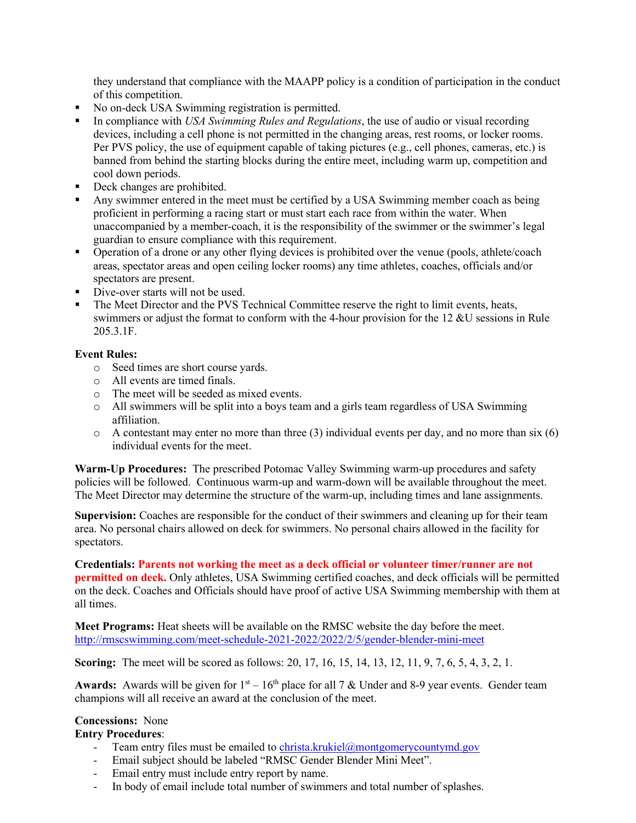they understand that compliance with the MAAPP policy is a condition of participation in the conduct of this competition.

- No on-deck USA Swimming registration is permitted.
- In compliance with *USA Swimming Rules and Regulations*, the use of audio or visual recording devices, including a cell phone is not permitted in the changing areas, rest rooms, or locker rooms. Per PVS policy, the use of equipment capable of taking pictures (e.g., cell phones, cameras, etc.) is banned from behind the starting blocks during the entire meet, including warm up, competition and cool down periods.
- Deck changes are prohibited.
- Any swimmer entered in the meet must be certified by a USA Swimming member coach as being proficient in performing a racing start or must start each race from within the water. When unaccompanied by a member-coach, it is the responsibility of the swimmer or the swimmer's legal guardian to ensure compliance with this requirement.
- Operation of a drone or any other flying devices is prohibited over the venue (pools, athlete/coach areas, spectator areas and open ceiling locker rooms) any time athletes, coaches, officials and/or spectators are present.
- Dive-over starts will not be used.
- The Meet Director and the PVS Technical Committee reserve the right to limit events, heats, swimmers or adjust the format to conform with the 4-hour provision for the 12 &U sessions in Rule 205.3.1F.

#### **Event Rules:**

- o Seed times are short course yards.
- o All events are timed finals.
- o The meet will be seeded as mixed events.
- o All swimmers will be split into a boys team and a girls team regardless of USA Swimming affiliation.
- $\circ$  A contestant may enter no more than three (3) individual events per day, and no more than six (6) individual events for the meet.

**Warm-Up Procedures:** The prescribed Potomac Valley Swimming warm-up procedures and safety policies will be followed. Continuous warm-up and warm-down will be available throughout the meet. The Meet Director may determine the structure of the warm-up, including times and lane assignments.

**Supervision:** Coaches are responsible for the conduct of their swimmers and cleaning up for their team area. No personal chairs allowed on deck for swimmers. No personal chairs allowed in the facility for spectators.

#### **Credentials: Parents not working the meet as a deck official or volunteer timer/runner are not**

**permitted on deck.** Only athletes, USA Swimming certified coaches, and deck officials will be permitted on the deck. Coaches and Officials should have proof of active USA Swimming membership with them at all times.

**Meet Programs:** Heat sheets will be available on the RMSC website the day before the meet. <http://rmscswimming.com/meet-schedule-2021-2022/2022/2/5/gender-blender-mini-meet>

**Scoring:** The meet will be scored as follows: 20, 17, 16, 15, 14, 13, 12, 11, 9, 7, 6, 5, 4, 3, 2, 1.

Awards: Awards will be given for 1<sup>st</sup> – 16<sup>th</sup> place for all 7 & Under and 8-9 year events. Gender team champions will all receive an award at the conclusion of the meet.

#### **Concessions:** None

**Entry Procedures**:

- Team entry files must be emailed to  $\frac{\text{christa.krukiel@montgomerycountymd.gov}}{\text{christa.krukiel@montgonerycountymd.gov}}$
- Email subject should be labeled "RMSC Gender Blender Mini Meet".
- Email entry must include entry report by name.
- In body of email include total number of swimmers and total number of splashes.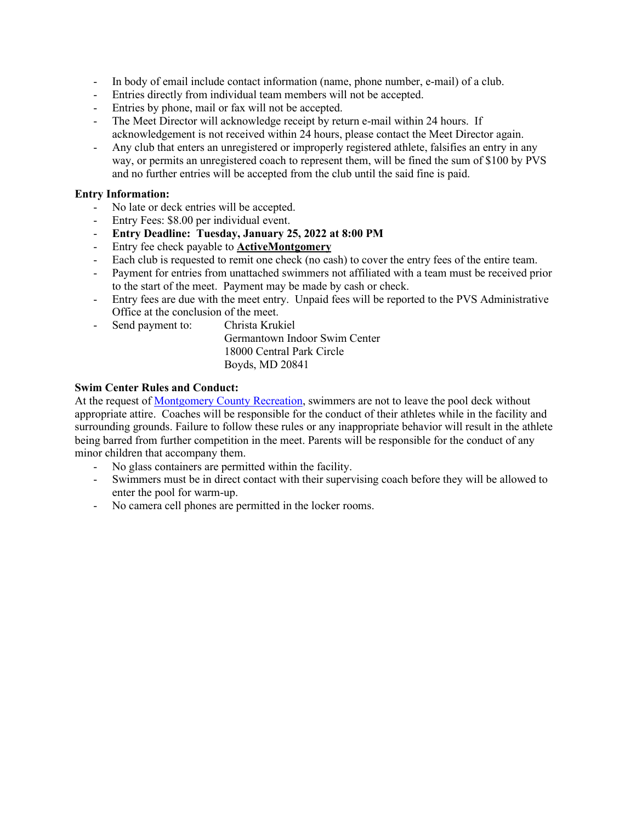- In body of email include contact information (name, phone number, e-mail) of a club.
- Entries directly from individual team members will not be accepted.
- Entries by phone, mail or fax will not be accepted.
- The Meet Director will acknowledge receipt by return e-mail within 24 hours. If acknowledgement is not received within 24 hours, please contact the Meet Director again.
- Any club that enters an unregistered or improperly registered athlete, falsifies an entry in any way, or permits an unregistered coach to represent them, will be fined the sum of \$100 by PVS and no further entries will be accepted from the club until the said fine is paid.

#### **Entry Information:**

- No late or deck entries will be accepted.
- Entry Fees: \$8.00 per individual event.
- **Entry Deadline: Tuesday, January 25, 2022 at 8:00 PM**
- Entry fee check payable to **ActiveMontgomery**
- Each club is requested to remit one check (no cash) to cover the entry fees of the entire team.
- Payment for entries from unattached swimmers not affiliated with a team must be received prior to the start of the meet. Payment may be made by cash or check.
- Entry fees are due with the meet entry. Unpaid fees will be reported to the PVS Administrative Office at the conclusion of the meet.
- Send payment to: Christa Krukiel
	- Germantown Indoor Swim Center 18000 Central Park Circle Boyds, MD 20841

#### **Swim Center Rules and Conduct:**

At the request of [Montgomery County Recreation,](http://www.montgomerycountymd.gov/rectmpl.asp?url=/content/rec/aqua.asp) swimmers are not to leave the pool deck without appropriate attire. Coaches will be responsible for the conduct of their athletes while in the facility and surrounding grounds. Failure to follow these rules or any inappropriate behavior will result in the athlete being barred from further competition in the meet. Parents will be responsible for the conduct of any minor children that accompany them.

- No glass containers are permitted within the facility.
- Swimmers must be in direct contact with their supervising coach before they will be allowed to enter the pool for warm-up.
- No camera cell phones are permitted in the locker rooms.